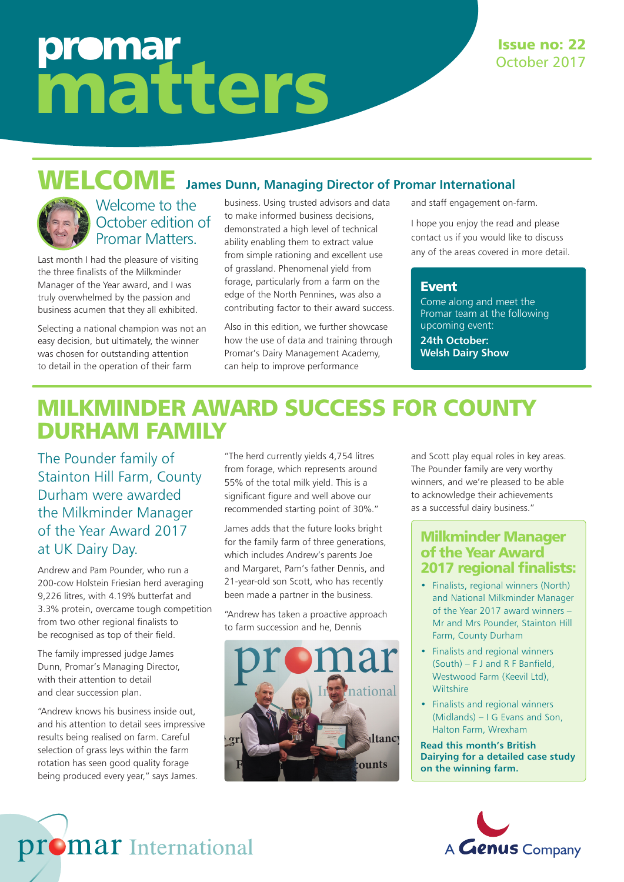# promar matters

#### Issue no: 22 October 2017

# WELCOME **James Dunn, Managing Director of Promar International**



#### Welcome to the October edition of Promar Matters.

Last month I had the pleasure of visiting the three finalists of the Milkminder Manager of the Year award, and I was truly overwhelmed by the passion and business acumen that they all exhibited.

Selecting a national champion was not an easy decision, but ultimately, the winner was chosen for outstanding attention to detail in the operation of their farm

business. Using trusted advisors and data to make informed business decisions, demonstrated a high level of technical ability enabling them to extract value from simple rationing and excellent use of grassland. Phenomenal yield from forage, particularly from a farm on the edge of the North Pennines, was also a contributing factor to their award success.

Also in this edition, we further showcase how the use of data and training through Promar's Dairy Management Academy, can help to improve performance

and staff engagement on-farm.

I hope you enjoy the read and please contact us if you would like to discuss any of the areas covered in more detail.

#### Event

Come along and meet the Promar team at the following upcoming event: **24th October: Welsh Dairy Show** 

### MILKMINDER AWARD SUCCESS FOR COUNTY DURHAM FAMILY

The Pounder family of Stainton Hill Farm, County Durham were awarded the Milkminder Manager of the Year Award 2017 at UK Dairy Day.

Andrew and Pam Pounder, who run a 200-cow Holstein Friesian herd averaging 9,226 litres, with 4.19% butterfat and 3.3% protein, overcame tough competition from two other regional finalists to be recognised as top of their field.

The family impressed judge James Dunn, Promar's Managing Director, with their attention to detail and clear succession plan.

"Andrew knows his business inside out, and his attention to detail sees impressive results being realised on farm. Careful selection of grass leys within the farm rotation has seen good quality forage being produced every year," says James.

promar International

"The herd currently yields 4,754 litres from forage, which represents around 55% of the total milk yield. This is a significant figure and well above our recommended starting point of 30%."

James adds that the future looks bright for the family farm of three generations, which includes Andrew's parents Joe and Margaret, Pam's father Dennis, and 21-year-old son Scott, who has recently been made a partner in the business.

"Andrew has taken a proactive approach to farm succession and he, Dennis



and Scott play equal roles in key areas. The Pounder family are very worthy winners, and we're pleased to be able to acknowledge their achievements as a successful dairy business."

#### Milkminder Manager of the Year Award 2017 regional finalists:

- Finalists, regional winners (North) and National Milkminder Manager of the Year 2017 award winners – Mr and Mrs Pounder, Stainton Hill Farm, County Durham
- Finalists and regional winners (South) – F J and R F Banfield, Westwood Farm (Keevil Ltd), **Wiltshire**
- Finalists and regional winners (Midlands) – I G Evans and Son, Halton Farm, Wrexham

**Read this month's British Dairying for a detailed case study on the winning farm.**